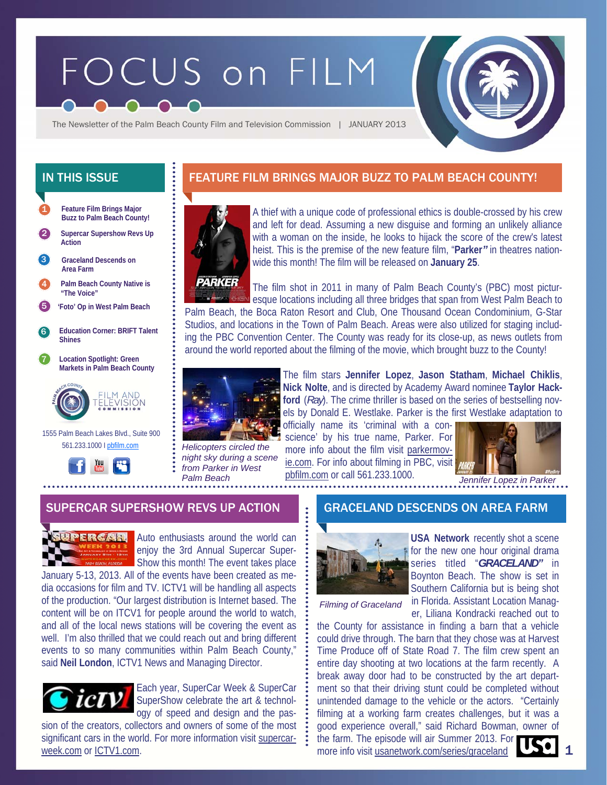# FOCUS on FILM



The Newsletter of the Palm Beach County Film and Television Commission | JANUARY 2013

**Feature Film Brings Major Buzz to Palm Beach County!**  1

2 **Supercar Supershow Revs Up Action** 

**Graceland Descends on Area Farm**  3

4 **Palm Beach County Native is "The Voice"** 

5 **'Foto' Op in West Palm Beach** 

6 **Education Corner: BRIFT Talent Shines** 

7 **Location Spotlight: Green Markets in Palm Beach County** 



 1555 Palm Beach Lakes Blvd., Suite 900 561.233.1000 I pbfilm.com



# IN THIS ISSUE **FEATURE FILM BRINGS MAJOR BUZZ TO PALM BEACH COUNTY!**



A thief with a unique code of professional ethics is double-crossed by his crew and left for dead. Assuming a new disguise and forming an unlikely alliance with a woman on the inside, he looks to hijack the score of the crew's latest heist. This is the premise of the new feature film, "**Parker***"* in theatres nationwide this month! The film will be released on **January 25**.



The film shot in 2011 in many of Palm Beach County's (PBC) most picturesque locations including all three bridges that span from West Palm Beach to

Palm Beach, the Boca Raton Resort and Club, One Thousand Ocean Condominium, G-Star Studios, and locations in the Town of Palm Beach. Areas were also utilized for staging including the PBC Convention Center. The County was ready for its close-up, as news outlets from around the world reported about the filming of the movie, which brought buzz to the County!



The film stars **Jennifer Lopez**, **Jason Statham**, **Michael Chiklis**, **Nick Nolte**, and is directed by Academy Award nominee **Taylor Hackford** (*Ray*). The crime thriller is based on the series of bestselling novels by Donald E. Westlake. Parker is the first Westlake adaptation to officially name its 'criminal with a con-

*Helicopters circled the night sky during a scene from Parker in West* 

science' by his true name, Parker. For more info about the film visit parkermovie.com. For info about filming in PBC, visit pbfilm.com or call 561.233.1000. Palm Beach **DENIFIE ACTES AND A PARTICUSE 10 DETA** Jennifer Lopez in Parker



1

## SUPERCAR SUPERSHOW REVS UP ACTION **GRACELAND DESCENDS ON AREA FARM**



Auto enthusiasts around the world can enjoy the 3rd Annual Supercar Super-Show this month! The event takes place

January 5-13, 2013. All of the events have been created as media occasions for film and TV. ICTV1 will be handling all aspects of the production. "Our largest distribution is Internet based. The content will be on ITCV1 for people around the world to watch, and all of the local news stations will be covering the event as well. I'm also thrilled that we could reach out and bring different events to so many communities within Palm Beach County," said **Neil London**, ICTV1 News and Managing Director.



Each year, SuperCar Week & SuperCar SuperShow celebrate the art & technology of speed and design and the pas-

sion of the creators, collectors and owners of some of the most significant cars in the world. For more information visit supercarweek.com or ICTV1.com.



**USA Network** recently shot a scene for the new one hour original drama series titled "*GRACELAND"* in Boynton Beach. The show is set in Southern California but is being shot in Florida. Assistant Location Manager, Liliana Kondracki reached out to

*Filming of Graceland* 

the County for assistance in finding a barn that a vehicle could drive through. The barn that they chose was at Harvest Time Produce off of State Road 7. The film crew spent an entire day shooting at two locations at the farm recently. A break away door had to be constructed by the art department so that their driving stunt could be completed without unintended damage to the vehicle or the actors. "Certainly filming at a working farm creates challenges, but it was a good experience overall," said Richard Bowman, owner of the farm. The episode will air Summer 2013. For more info visit usanetwork.com/series/graceland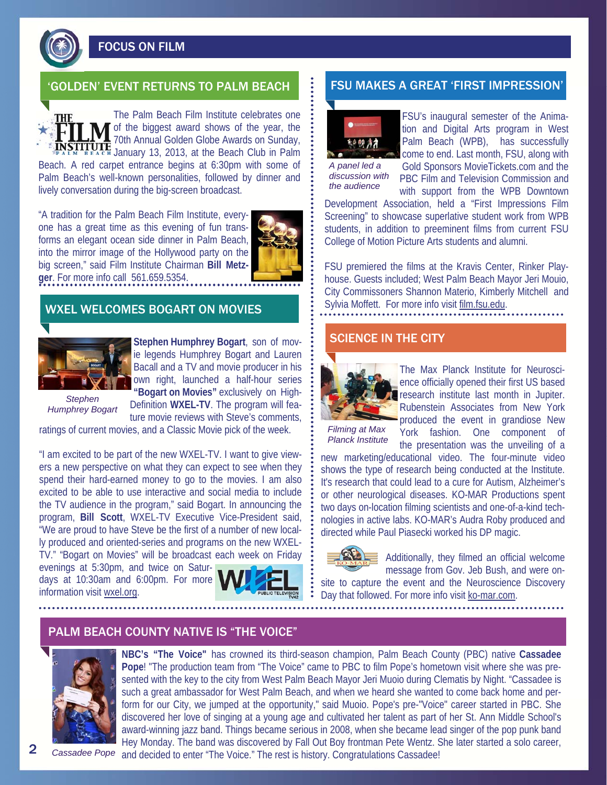FOCUS ON FILM

## 'GOLDEN' EVENT RETURNS TO PALM BEACH FSU MAKES A GREAT 'FIRST IMPRESSION'

The Palm Beach Film Institute celebrates one of the biggest award shows of the year, the 70th Annual Golden Globe Awards on Sunday, **JNSTITUTE** / *Correction* 2013, at the Beach Club in Palm Beach. A red carpet entrance begins at 6:30pm with some of Palm Beach's well-known personalities, followed by dinner and

lively conversation during the big-screen broadcast.

"A tradition for the Palm Beach Film Institute, everyone has a great time as this evening of fun transforms an elegant ocean side dinner in Palm Beach, into the mirror image of the Hollywood party on the big screen," said Film Institute Chairman **Bill Metzger**. For more info call 561.659.5354.



## WXEL WELCOMES BOGART ON MOVIES



**Stephen Humphrey Bogart**, son of movie legends Humphrey Bogart and Lauren Bacall and a TV and movie producer in his own right, launched a half-hour series **"Bogart on Movies"** exclusively on High-Definition **WXEL-TV**. The program will fea-

ture movie reviews with Steve's comments,

*Stephen Humphrey Bogart* 

ratings of current movies, and a Classic Movie pick of the week.

"I am excited to be part of the new WXEL-TV. I want to give viewers a new perspective on what they can expect to see when they spend their hard-earned money to go to the movies. I am also excited to be able to use interactive and social media to include the TV audience in the program," said Bogart. In announcing the program, **Bill Scott**, WXEL-TV Executive Vice-President said, "We are proud to have Steve be the first of a number of new locally produced and oriented-series and programs on the new WXEL-TV." "Bogart on Movies" will be broadcast each week on Friday

evenings at 5:30pm, and twice on Saturdays at 10:30am and 6:00pm. For more information visit wxel.org.





FSU's inaugural semester of the Animation and Digital Arts program in West Palm Beach (WPB), has successfully

*A panel led a discussion with the audience* 

come to end. Last month, FSU, along with Gold Sponsors MovieTickets.com and the PBC Film and Television Commission and

with support from the WPB Downtown Development Association, held a "First Impressions Film Screening" to showcase superlative student work from WPB students, in addition to preeminent films from current FSU College of Motion Picture Arts students and alumni.

FSU premiered the films at the Kravis Center, Rinker Playhouse. Guests included; West Palm Beach Mayor Jeri Mouio, City Commissoners Shannon Materio, Kimberly Mitchell and Sylvia Moffett. For more info visit film.fsu.edu.

#### SCIENCE IN THE CITY



The Max Planck Institute for Neuroscience officially opened their first US based research institute last month in Jupiter. Rubenstein Associates from New York produced the event in grandiose New York fashion. One component of the presentation was the unveiling of a

*Filming at Max Planck Institute* 

new marketing/educational video. The four-minute video shows the type of research being conducted at the Institute. It's research that could lead to a cure for Autism, Alzheimer's or other neurological diseases. KO-MAR Productions spent two days on-location filming scientists and one-of-a-kind technologies in active labs. KO-MAR's Audra Roby produced and directed while Paul Piasecki worked his DP magic.

Dav that followed. For more info visit ko-mar.com.



Additionally, they filmed an official welcome message from Gov. Jeb Bush, and were onsite to capture the event and the Neuroscience Discovery

PALM BEACH COUNTY NATIVE IS "THE VOICE"



**NBC's "The Voice"** has crowned its third-season champion, Palm Beach County (PBC) native **Cassadee Pope**! "The production team from "The Voice" came to PBC to film Pope's hometown visit where she was presented with the key to the city from West Palm Beach Mayor Jeri Muoio during Clematis by Night. "Cassadee is such a great ambassador for West Palm Beach, and when we heard she wanted to come back home and perform for our City, we jumped at the opportunity," said Muoio. Pope's pre-"Voice" career started in PBC. She discovered her love of singing at a young age and cultivated her talent as part of her St. Ann Middle School's award-winning jazz band. Things became serious in 2008, when she became lead singer of the pop punk band Hey Monday. The band was discovered by Fall Out Boy frontman Pete Wentz. She later started a solo career, and decided to enter "The Voice." The rest is history. Congratulations Cassadee!

2 *Cassadee Pope*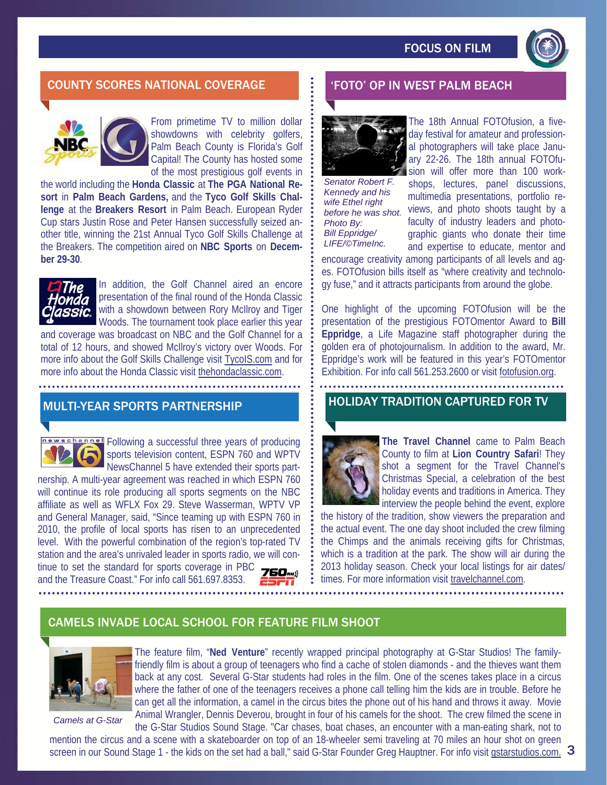

# COUNTY SCORES NATIONAL COVERAGE 'FOTO' OP IN WEST PALM BEACH



From primetime TV to million dollar showdowns with celebrity golfers, Palm Beach County is Florida's Golf Capital! The County has hosted some of the most prestigious golf events in

the world including the **Honda Classic** at **The PGA National Resort** in **Palm Beach Gardens,** and the **Tyco Golf Skills Challenge** at the **Breakers Resort** in Palm Beach. European Ryder Cup stars Justin Rose and Peter Hansen successfully seized another title, winning the 21st Annual Tyco Golf Skills Challenge at the Breakers. The competition aired on **NBC Sports** on **December 29-30**.



In addition, the Golf Channel aired an encore presentation of the final round of the Honda Classic with a showdown between Rory McIlroy and Tiger Woods. The tournament took place earlier this year

and coverage was broadcast on NBC and the Golf Channel for a total of 12 hours, and showed McIlroy's victory over Woods. For more info about the Golf Skills Challenge visit TycoIS.com and for more info about the Honda Classic visit thehondaclassic.com.

## MULTI-YEAR SPORTS PARTNERSHIP

newschannel Following a successful three years of producing sports television content, ESPN 760 and WPTV NewsChannel 5 have extended their sports part-

nership. A multi-year agreement was reached in which ESPN 760 will continue its role producing all sports segments on the NBC affiliate as well as WFLX Fox 29. Steve Wasserman, WPTV VP and General Manager, said, "Since teaming up with ESPN 760 in 2010, the profile of local sports has risen to an unprecedented level. With the powerful combination of the region's top-rated TV station and the area's unrivaled leader in sports radio, we will continue to set the standard for sports coverage in PBC  $\overline{\mathbf{Z}}$ and the Treasure Coast." For info call 561.697.8353.





*Senator Robert F. Kennedy and his wife Ethel right before he was shot. Photo By: Bill Eppridge/ LIFE/©TimeInc.* 

The 18th Annual FOTOfusion, a fiveday festival for amateur and professional photographers will take place January 22-26. The 18th annual FOTOfusion will offer more than 100 workshops, lectures, panel discussions, multimedia presentations, portfolio reviews, and photo shoots taught by a faculty of industry leaders and photographic giants who donate their time and expertise to educate, mentor and encourage creativity among participants of all levels and ag-

es. FOTOfusion bills itself as "where creativity and technology fuse," and it attracts participants from around the globe.

One highlight of the upcoming FOTOfusion will be the presentation of the prestigious FOTOmentor Award to **Bill Eppridge**, a Life Magazine staff photographer during the golden era of photojournalism. In addition to the award, Mr. Eppridge's work will be featured in this year's FOTOmentor Exhibition. For info call 561.253.2600 or visit fotofusion.org.

#### HOLIDAY TRADITION CAPTURED FOR TV



**The Travel Channel** came to Palm Beach County to film at **Lion Country Safari**! They shot a segment for the Travel Channel's Christmas Special, a celebration of the best holiday events and traditions in America. They interview the people behind the event, explore

the history of the tradition, show viewers the preparation and the actual event. The one day shoot included the crew filming the Chimps and the animals receiving gifts for Christmas, which is a tradition at the park. The show will air during the 2013 holiday season. Check your local listings for air dates/ times. For more information visit travelchannel.com.

# CAMELS INVADE LOCAL SCHOOL FOR FEATURE FILM SHOOT



*Camels at G-Star* 

The feature film, "**Ned Venture**" recently wrapped principal photography at G-Star Studios! The familyfriendly film is about a group of teenagers who find a cache of stolen diamonds - and the thieves want them back at any cost. Several G-Star students had roles in the film. One of the scenes takes place in a circus where the father of one of the teenagers receives a phone call telling him the kids are in trouble. Before he can get all the information, a camel in the circus bites the phone out of his hand and throws it away. Movie Animal Wrangler, Dennis Deverou, brought in four of his camels for the shoot. The crew filmed the scene in the G-Star Studios Sound Stage. "Car chases, boat chases, an encounter with a man-eating shark, not to

mention the circus and a scene with a skateboarder on top of an 18-wheeler semi traveling at 70 miles an hour shot on green screen in our Sound Stage 1 - the kids on the set had a ball," said G-Star Founder Greg Hauptner. For info visit gstarstudios.com. 3